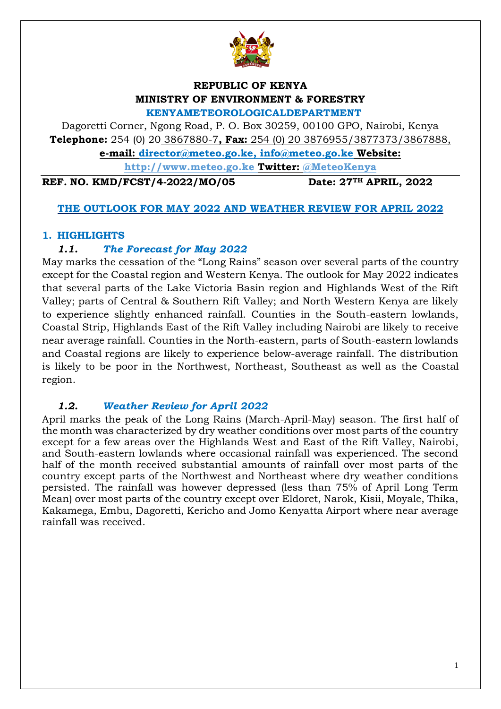

# **REPUBLIC OF KENYA MINISTRY OF ENVIRONMENT & FORESTRY**

**KENYAMETEOROLOGICALDEPARTMENT**

Dagoretti Corner, Ngong Road, P. O. Box 30259, 00100 GPO, Nairobi, Kenya **Telephone:** 254 (0) 20 3867880-7**, Fax:** 254 (0) 20 3876955/3877373/3867888,

**e-mail: [director@meteo.go.ke,](mailto:director@meteo.go.ke) [info@meteo.go.ke](mailto:info@meteo.go.ke) Website:**

**[http://www.meteo.go.ke](http://www.meteo.go.ke/) Twitter: @MeteoKenya**

**REF. NO. KMD/FCST/4-2022/MO/05 Date: 27TH APRIL, 2022**

## **THE OUTLOOK FOR MAY 2022 AND WEATHER REVIEW FOR APRIL 2022**

## **1. HIGHLIGHTS**

## *1.1. The Forecast for May 2022*

May marks the cessation of the "Long Rains" season over several parts of the country except for the Coastal region and Western Kenya. The outlook for May 2022 indicates that several parts of the Lake Victoria Basin region and Highlands West of the Rift Valley; parts of Central & Southern Rift Valley; and North Western Kenya are likely to experience slightly enhanced rainfall. Counties in the South-eastern lowlands, Coastal Strip, Highlands East of the Rift Valley including Nairobi are likely to receive near average rainfall. Counties in the North-eastern, parts of South-eastern lowlands and Coastal regions are likely to experience below-average rainfall. The distribution is likely to be poor in the Northwest, Northeast, Southeast as well as the Coastal region.

# *1.2. Weather Review for April 2022*

April marks the peak of the Long Rains (March-April-May) season. The first half of the month was characterized by dry weather conditions over most parts of the country except for a few areas over the Highlands West and East of the Rift Valley, Nairobi, and South-eastern lowlands where occasional rainfall was experienced. The second half of the month received substantial amounts of rainfall over most parts of the country except parts of the Northwest and Northeast where dry weather conditions persisted. The rainfall was however depressed (less than 75% of April Long Term Mean) over most parts of the country except over Eldoret, Narok, Kisii, Moyale, Thika, Kakamega, Embu, Dagoretti, Kericho and Jomo Kenyatta Airport where near average rainfall was received.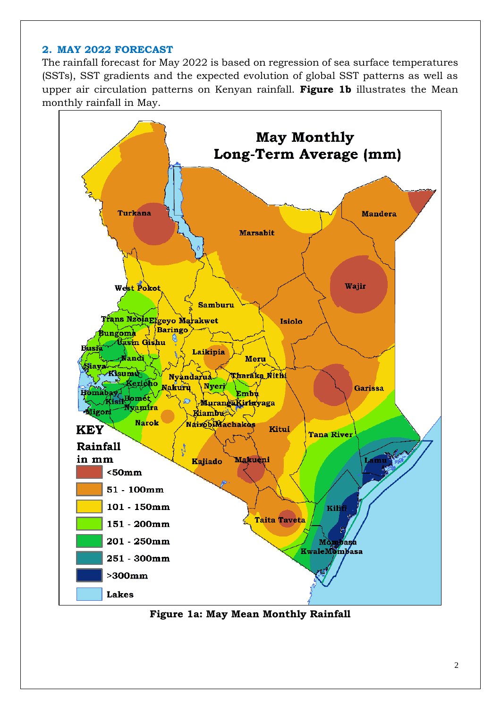#### **2. MAY 2022 FORECAST**

The rainfall forecast for May 2022 is based on regression of sea surface temperatures (SSTs), SST gradients and the expected evolution of global SST patterns as well as upper air circulation patterns on Kenyan rainfall. **Figure 1b** illustrates the Mean monthly rainfall in May.



**Figure 1a: May Mean Monthly Rainfall**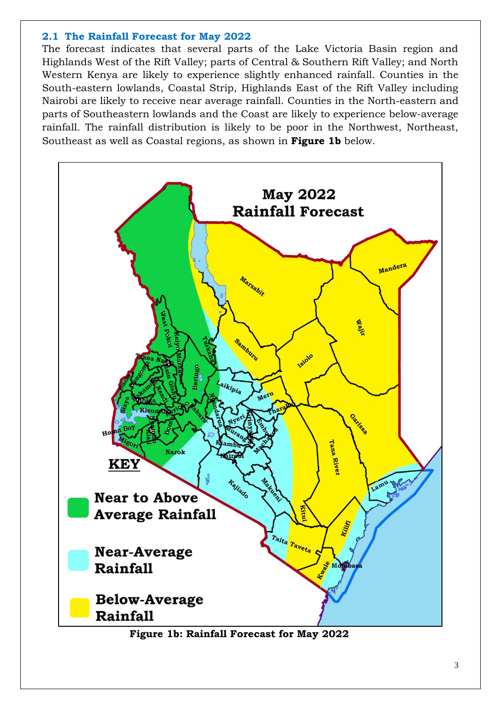#### **2.1 The Rainfall Forecast for May 2022**

The forecast indicates that several parts of the Lake Victoria Basin region and Highlands West of the Rift Valley; parts of Central & Southern Rift Valley; and North Western Kenya are likely to experience slightly enhanced rainfall. Counties in the South-eastern lowlands, Coastal Strip, Highlands East of the Rift Valley including Nairobi are likely to receive near average rainfall. Counties in the North-eastern and parts of Southeastern lowlands and the Coast are likely to experience below-average rainfall. The rainfall distribution is likely to be poor in the Northwest, Northeast, Southeast as well as Coastal regions, as shown in **Figure 1b** below.



**Figure 1b: Rainfall Forecast for May 2022**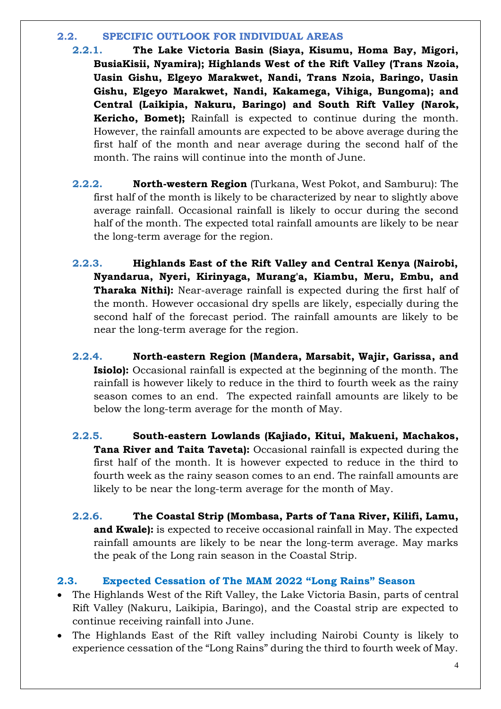#### **2.2. SPECIFIC OUTLOOK FOR INDIVIDUAL AREAS**

- **2.2.1. The Lake Victoria Basin (Siaya, Kisumu, Homa Bay, Migori, BusiaKisii, Nyamira); Highlands West of the Rift Valley (Trans Nzoia, Uasin Gishu, Elgeyo Marakwet, Nandi, Trans Nzoia, Baringo, Uasin Gishu, Elgeyo Marakwet, Nandi, Kakamega, Vihiga, Bungoma); and Central (Laikipia, Nakuru, Baringo) and South Rift Valley (Narok, Kericho, Bomet);** Rainfall is expected to continue during the month. However, the rainfall amounts are expected to be above average during the first half of the month and near average during the second half of the month. The rains will continue into the month of June.
- **2.2.2. North-western Region** (Turkana, West Pokot, and Samburu): The first half of the month is likely to be characterized by near to slightly above average rainfall. Occasional rainfall is likely to occur during the second half of the month. The expected total rainfall amounts are likely to be near the long-term average for the region.
- **2.2.3. Highlands East of the Rift Valley and Central Kenya (Nairobi, Nyandarua, Nyeri, Kirinyaga, Murang'a, Kiambu, Meru, Embu, and Tharaka Nithi):** Near-average rainfall is expected during the first half of the month. However occasional dry spells are likely, especially during the second half of the forecast period. The rainfall amounts are likely to be near the long-term average for the region.
- **2.2.4. North-eastern Region (Mandera, Marsabit, Wajir, Garissa, and Isiolo):** Occasional rainfall is expected at the beginning of the month. The rainfall is however likely to reduce in the third to fourth week as the rainy season comes to an end. The expected rainfall amounts are likely to be below the long-term average for the month of May.
- **2.2.5. South-eastern Lowlands (Kajiado, Kitui, Makueni, Machakos, Tana River and Taita Taveta):** Occasional rainfall is expected during the first half of the month. It is however expected to reduce in the third to fourth week as the rainy season comes to an end. The rainfall amounts are likely to be near the long-term average for the month of May.
- **2.2.6. The Coastal Strip (Mombasa, Parts of Tana River, Kilifi, Lamu, and Kwale):** is expected to receive occasional rainfall in May. The expected rainfall amounts are likely to be near the long-term average. May marks the peak of the Long rain season in the Coastal Strip.

# **2.3. Expected Cessation of The MAM 2022 "Long Rains" Season**

- The Highlands West of the Rift Valley, the Lake Victoria Basin, parts of central Rift Valley (Nakuru, Laikipia, Baringo), and the Coastal strip are expected to continue receiving rainfall into June.
- The Highlands East of the Rift valley including Nairobi County is likely to experience cessation of the "Long Rains" during the third to fourth week of May.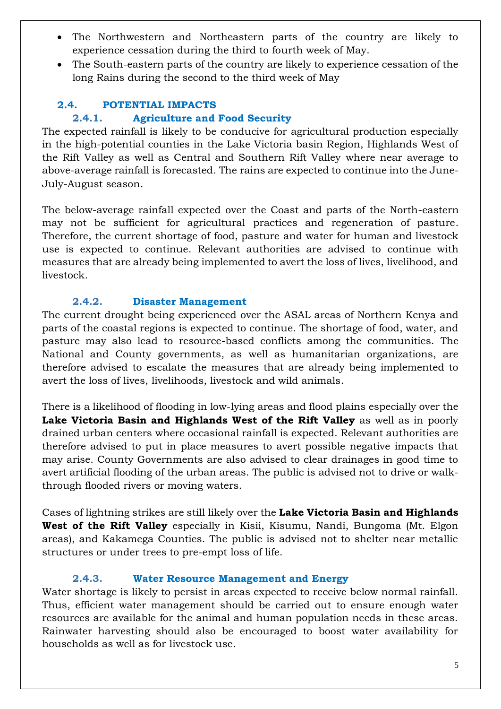- The Northwestern and Northeastern parts of the country are likely to experience cessation during the third to fourth week of May.
- The South-eastern parts of the country are likely to experience cessation of the long Rains during the second to the third week of May

# **2.4. POTENTIAL IMPACTS**

# **2.4.1. Agriculture and Food Security**

The expected rainfall is likely to be conducive for agricultural production especially in the high-potential counties in the Lake Victoria basin Region, Highlands West of the Rift Valley as well as Central and Southern Rift Valley where near average to above-average rainfall is forecasted. The rains are expected to continue into the June-July-August season.

The below-average rainfall expected over the Coast and parts of the North-eastern may not be sufficient for agricultural practices and regeneration of pasture. Therefore, the current shortage of food, pasture and water for human and livestock use is expected to continue. Relevant authorities are advised to continue with measures that are already being implemented to avert the loss of lives, livelihood, and livestock.

## **2.4.2. Disaster Management**

The current drought being experienced over the ASAL areas of Northern Kenya and parts of the coastal regions is expected to continue. The shortage of food, water, and pasture may also lead to resource-based conflicts among the communities. The National and County governments, as well as humanitarian organizations, are therefore advised to escalate the measures that are already being implemented to avert the loss of lives, livelihoods, livestock and wild animals.

There is a likelihood of flooding in low-lying areas and flood plains especially over the **Lake Victoria Basin and Highlands West of the Rift Valley** as well as in poorly drained urban centers where occasional rainfall is expected. Relevant authorities are therefore advised to put in place measures to avert possible negative impacts that may arise. County Governments are also advised to clear drainages in good time to avert artificial flooding of the urban areas. The public is advised not to drive or walkthrough flooded rivers or moving waters.

Cases of lightning strikes are still likely over the **Lake Victoria Basin and Highlands West of the Rift Valley** especially in Kisii, Kisumu, Nandi, Bungoma (Mt. Elgon areas), and Kakamega Counties. The public is advised not to shelter near metallic structures or under trees to pre-empt loss of life.

## **2.4.3. Water Resource Management and Energy**

Water shortage is likely to persist in areas expected to receive below normal rainfall. Thus, efficient water management should be carried out to ensure enough water resources are available for the animal and human population needs in these areas. Rainwater harvesting should also be encouraged to boost water availability for households as well as for livestock use.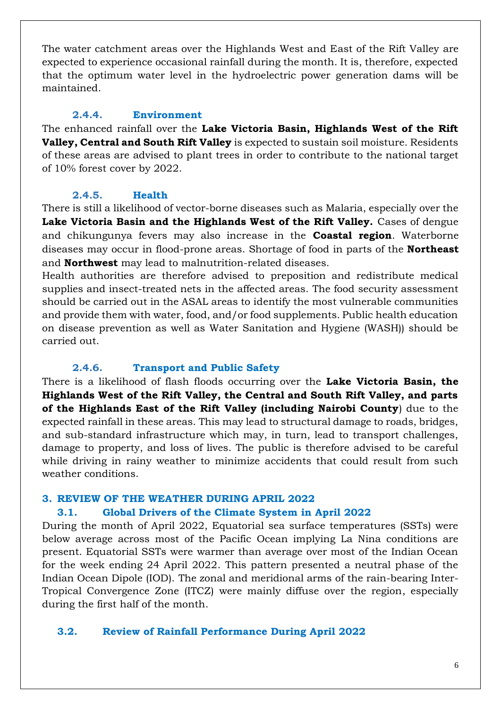The water catchment areas over the Highlands West and East of the Rift Valley are expected to experience occasional rainfall during the month. It is, therefore, expected that the optimum water level in the hydroelectric power generation dams will be maintained.

#### **2.4.4. Environment**

The enhanced rainfall over the **Lake Victoria Basin, Highlands West of the Rift Valley, Central and South Rift Valley** is expected to sustain soil moisture. Residents of these areas are advised to plant trees in order to contribute to the national target of 10% forest cover by 2022.

#### **2.4.5. Health**

There is still a likelihood of vector-borne diseases such as Malaria, especially over the **Lake Victoria Basin and the Highlands West of the Rift Valley.** Cases of dengue and chikungunya fevers may also increase in the **Coastal region**. Waterborne diseases may occur in flood-prone areas. Shortage of food in parts of the **Northeast** and **Northwest** may lead to malnutrition-related diseases.

Health authorities are therefore advised to preposition and redistribute medical supplies and insect-treated nets in the affected areas. The food security assessment should be carried out in the ASAL areas to identify the most vulnerable communities and provide them with water, food, and/or food supplements. Public health education on disease prevention as well as Water Sanitation and Hygiene (WASH)) should be carried out.

## **2.4.6. Transport and Public Safety**

There is a likelihood of flash floods occurring over the **Lake Victoria Basin, the Highlands West of the Rift Valley, the Central and South Rift Valley, and parts of the Highlands East of the Rift Valley (including Nairobi County**) due to the expected rainfall in these areas. This may lead to structural damage to roads, bridges, and sub-standard infrastructure which may, in turn, lead to transport challenges, damage to property, and loss of lives. The public is therefore advised to be careful while driving in rainy weather to minimize accidents that could result from such weather conditions.

## **3. REVIEW OF THE WEATHER DURING APRIL 2022**

## **3.1. Global Drivers of the Climate System in April 2022**

During the month of April 2022, Equatorial sea surface temperatures (SSTs) were below average across most of the Pacific Ocean implying La Nina conditions are present. Equatorial SSTs were warmer than average over most of the Indian Ocean for the week ending 24 April 2022. This pattern presented a neutral phase of the Indian Ocean Dipole (IOD). The zonal and meridional arms of the rain-bearing Inter-Tropical Convergence Zone (ITCZ) were mainly diffuse over the region, especially during the first half of the month.

## **3.2. Review of Rainfall Performance During April 2022**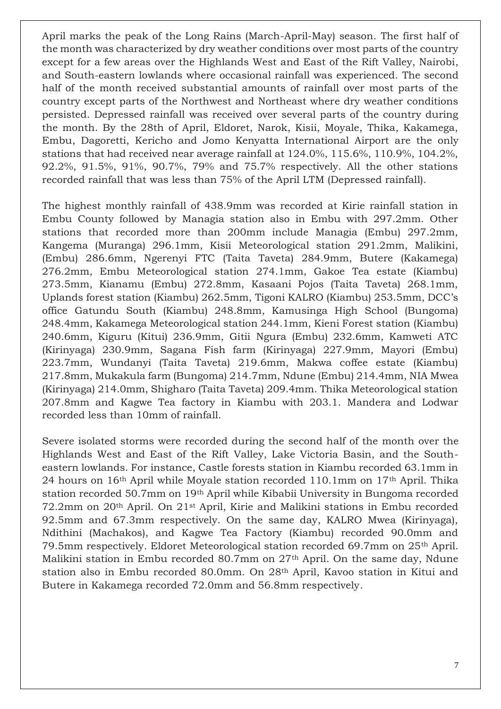April marks the peak of the Long Rains (March-April-May) season. The first half of the month was characterized by dry weather conditions over most parts of the country except for a few areas over the Highlands West and East of the Rift Valley, Nairobi, and South-eastern lowlands where occasional rainfall was experienced. The second half of the month received substantial amounts of rainfall over most parts of the country except parts of the Northwest and Northeast where dry weather conditions persisted. Depressed rainfall was received over several parts of the country during the month. By the 28th of April, Eldoret, Narok, Kisii, Moyale, Thika, Kakamega, Embu, Dagoretti, Kericho and Jomo Kenyatta International Airport are the only stations that had received near average rainfall at 124.0%, 115.6%, 110.9%, 104.2%, 92.2%, 91.5%, 91%, 90.7%, 79% and 75.7% respectively. All the other stations recorded rainfall that was less than 75% of the April LTM (Depressed rainfall).

The highest monthly rainfall of 438.9mm was recorded at Kirie rainfall station in Embu County followed by Managia station also in Embu with 297.2mm. Other stations that recorded more than 200mm include Managia (Embu) 297.2mm, Kangema (Muranga) 296.1mm, Kisii Meteorological station 291.2mm, Malikini, (Embu) 286.6mm, Ngerenyi FTC (Taita Taveta) 284.9mm, Butere (Kakamega) 276.2mm, Embu Meteorological station 274.1mm, Gakoe Tea estate (Kiambu) 273.5mm, Kianamu (Embu) 272.8mm, Kasaani Pojos (Taita Taveta) 268.1mm, Uplands forest station (Kiambu) 262.5mm, Tigoni KALRO (Kiambu) 253.5mm, DCC's office Gatundu South (Kiambu) 248.8mm, Kamusinga High School (Bungoma) 248.4mm, Kakamega Meteorological station 244.1mm, Kieni Forest station (Kiambu) 240.6mm, Kiguru (Kitui) 236.9mm, Gitii Ngura (Embu) 232.6mm, Kamweti ATC (Kirinyaga) 230.9mm, Sagana Fish farm (Kirinyaga) 227.9mm, Mayori (Embu) 223.7mm, Wundanyi (Taita Taveta) 219.6mm, Makwa coffee estate (Kiambu) 217.8mm, Mukakula farm (Bungoma) 214.7mm, Ndune (Embu) 214.4mm, NIA Mwea (Kirinyaga) 214.0mm, Shigharo (Taita Taveta) 209.4mm. Thika Meteorological station 207.8mm and Kagwe Tea factory in Kiambu with 203.1. Mandera and Lodwar recorded less than 10mm of rainfall.

Severe isolated storms were recorded during the second half of the month over the Highlands West and East of the Rift Valley, Lake Victoria Basin, and the Southeastern lowlands. For instance, Castle forests station in Kiambu recorded 63.1mm in 24 hours on 16th April while Moyale station recorded 110.1mm on 17th April. Thika station recorded 50.7mm on 19th April while Kibabii University in Bungoma recorded 72.2mm on 20th April. On 21st April, Kirie and Malikini stations in Embu recorded 92.5mm and 67.3mm respectively. On the same day, KALRO Mwea (Kirinyaga), Ndithini (Machakos), and Kagwe Tea Factory (Kiambu) recorded 90.0mm and 79.5mm respectively. Eldoret Meteorological station recorded 69.7mm on 25th April. Malikini station in Embu recorded 80.7mm on 27th April. On the same day, Ndune station also in Embu recorded 80.0mm. On 28th April, Kavoo station in Kitui and Butere in Kakamega recorded 72.0mm and 56.8mm respectively.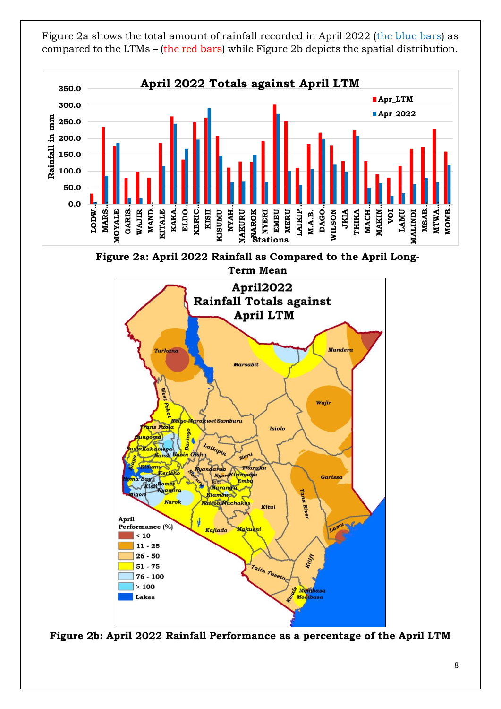Figure 2a shows the total amount of rainfall recorded in April 2022 (the blue bars) as compared to the LTMs – (the red bars) while Figure 2b depicts the spatial distribution.



**Figure 2a: April 2022 Rainfall as Compared to the April Long-**



**Figure 2b: April 2022 Rainfall Performance as a percentage of the April LTM**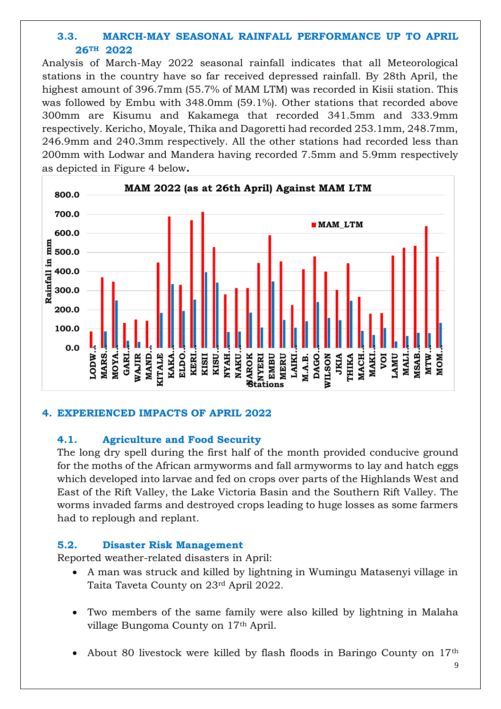# **3.3. MARCH-MAY SEASONAL RAINFALL PERFORMANCE UP TO APRIL 26TH 2022**

Analysis of March-May 2022 seasonal rainfall indicates that all Meteorological stations in the country have so far received depressed rainfall. By 28th April, the highest amount of 396.7mm (55.7% of MAM LTM) was recorded in Kisii station. This was followed by Embu with 348.0mm (59.1%). Other stations that recorded above 300mm are Kisumu and Kakamega that recorded 341.5mm and 333.9mm respectively. Kericho, Moyale, Thika and Dagoretti had recorded 253.1mm, 248.7mm, 246.9mm and 240.3mm respectively. All the other stations had recorded less than 200mm with Lodwar and Mandera having recorded 7.5mm and 5.9mm respectively as depicted in Figure 4 below**.**



#### **4. EXPERIENCED IMPACTS OF APRIL 2022**

#### **4.1. Agriculture and Food Security**

The long dry spell during the first half of the month provided conducive ground for the moths of the African armyworms and fall armyworms to lay and hatch eggs which developed into larvae and fed on crops over parts of the Highlands West and East of the Rift Valley, the Lake Victoria Basin and the Southern Rift Valley. The worms invaded farms and destroyed crops leading to huge losses as some farmers had to replough and replant.

#### **5.2. Disaster Risk Management**

Reported weather-related disasters in April:

- A man was struck and killed by lightning in Wumingu Matasenyi village in Taita Taveta County on 23rd April 2022.
- Two members of the same family were also killed by lightning in Malaha village Bungoma County on 17th April.
- About 80 livestock were killed by flash floods in Baringo County on 17th

9